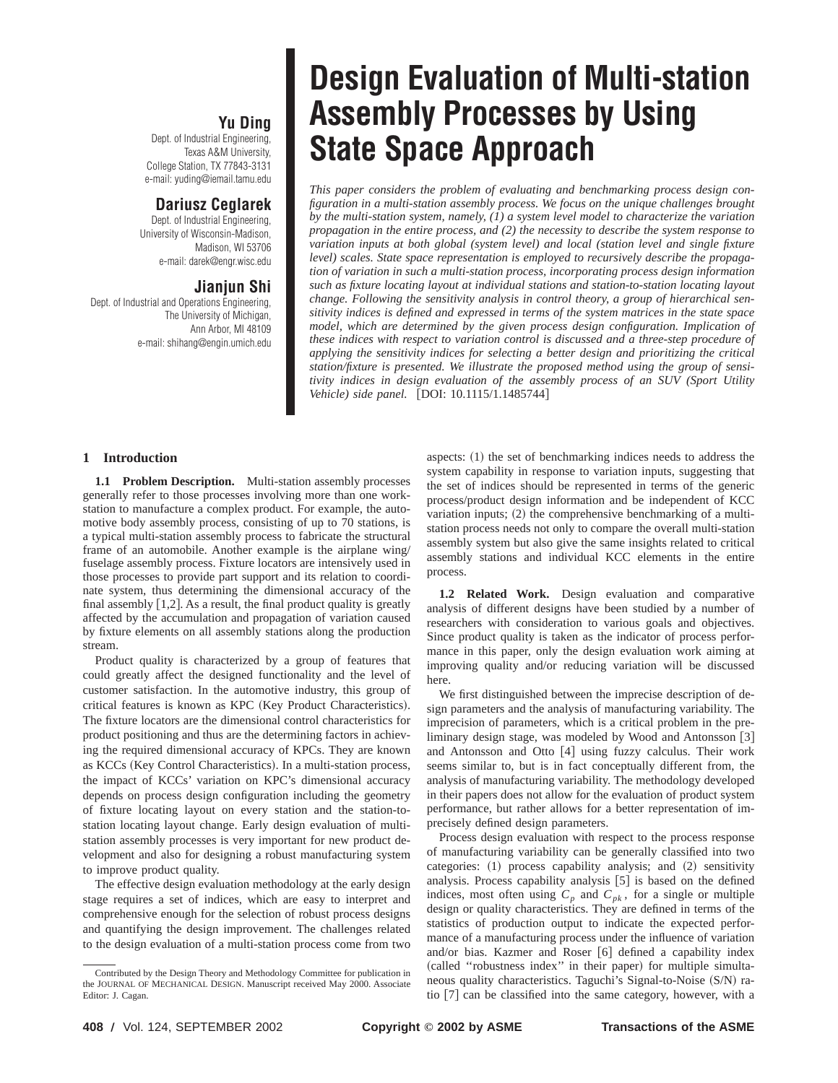# **Yu Ding**

Dept. of Industrial Engineering, Texas A&M University, College Station, TX 77843-3131 e-mail: yuding@iemail.tamu.edu

## **Dariusz Ceglarek**

Dept. of Industrial Engineering, University of Wisconsin-Madison, Madison, WI 53706 e-mail: darek@engr.wisc.edu

# **Jianjun Shi**

Dept. of Industrial and Operations Engineering, The University of Michigan, Ann Arbor, MI 48109 e-mail: shihang@engin.umich.edu

# **Design Evaluation of Multi-station Assembly Processes by Using State Space Approach**

*This paper considers the problem of evaluating and benchmarking process design configuration in a multi-station assembly process. We focus on the unique challenges brought by the multi-station system, namely, (1) a system level model to characterize the variation propagation in the entire process, and (2) the necessity to describe the system response to variation inputs at both global (system level) and local (station level and single fixture level) scales. State space representation is employed to recursively describe the propagation of variation in such a multi-station process, incorporating process design information such as fixture locating layout at individual stations and station-to-station locating layout change. Following the sensitivity analysis in control theory, a group of hierarchical sensitivity indices is defined and expressed in terms of the system matrices in the state space model, which are determined by the given process design configuration. Implication of these indices with respect to variation control is discussed and a three-step procedure of applying the sensitivity indices for selecting a better design and prioritizing the critical station/fixture is presented. We illustrate the proposed method using the group of sensitivity indices in design evaluation of the assembly process of an SUV (Sport Utility Vehicle) side panel.* [DOI: 10.1115/1.1485744]

## **1 Introduction**

**1.1 Problem Description.** Multi-station assembly processes generally refer to those processes involving more than one workstation to manufacture a complex product. For example, the automotive body assembly process, consisting of up to 70 stations, is a typical multi-station assembly process to fabricate the structural frame of an automobile. Another example is the airplane wing/ fuselage assembly process. Fixture locators are intensively used in those processes to provide part support and its relation to coordinate system, thus determining the dimensional accuracy of the final assembly  $[1,2]$ . As a result, the final product quality is greatly affected by the accumulation and propagation of variation caused by fixture elements on all assembly stations along the production stream.

Product quality is characterized by a group of features that could greatly affect the designed functionality and the level of customer satisfaction. In the automotive industry, this group of critical features is known as KPC (Key Product Characteristics). The fixture locators are the dimensional control characteristics for product positioning and thus are the determining factors in achieving the required dimensional accuracy of KPCs. They are known as KCCs (Key Control Characteristics). In a multi-station process, the impact of KCCs' variation on KPC's dimensional accuracy depends on process design configuration including the geometry of fixture locating layout on every station and the station-tostation locating layout change. Early design evaluation of multistation assembly processes is very important for new product development and also for designing a robust manufacturing system to improve product quality.

The effective design evaluation methodology at the early design stage requires a set of indices, which are easy to interpret and comprehensive enough for the selection of robust process designs and quantifying the design improvement. The challenges related to the design evaluation of a multi-station process come from two

aspects:  $(1)$  the set of benchmarking indices needs to address the system capability in response to variation inputs, suggesting that the set of indices should be represented in terms of the generic process/product design information and be independent of KCC variation inputs;  $(2)$  the comprehensive benchmarking of a multistation process needs not only to compare the overall multi-station assembly system but also give the same insights related to critical assembly stations and individual KCC elements in the entire process.

**1.2 Related Work.** Design evaluation and comparative analysis of different designs have been studied by a number of researchers with consideration to various goals and objectives. Since product quality is taken as the indicator of process performance in this paper, only the design evaluation work aiming at improving quality and/or reducing variation will be discussed here.

We first distinguished between the imprecise description of design parameters and the analysis of manufacturing variability. The imprecision of parameters, which is a critical problem in the preliminary design stage, was modeled by Wood and Antonsson [3] and Antonsson and Otto  $[4]$  using fuzzy calculus. Their work seems similar to, but is in fact conceptually different from, the analysis of manufacturing variability. The methodology developed in their papers does not allow for the evaluation of product system performance, but rather allows for a better representation of imprecisely defined design parameters.

Process design evaluation with respect to the process response of manufacturing variability can be generally classified into two categories:  $(1)$  process capability analysis; and  $(2)$  sensitivity analysis. Process capability analysis [5] is based on the defined indices, most often using  $C_p$  and  $C_{pk}$ , for a single or multiple design or quality characteristics. They are defined in terms of the statistics of production output to indicate the expected performance of a manufacturing process under the influence of variation and/or bias. Kazmer and Roser  $[6]$  defined a capability index (called "robustness index" in their paper) for multiple simultaneous quality characteristics. Taguchi's Signal-to-Noise  $(S/N)$  ratio  $|7|$  can be classified into the same category, however, with a

Contributed by the Design Theory and Methodology Committee for publication in the JOURNAL OF MECHANICAL DESIGN. Manuscript received May 2000. Associate Editor: J. Cagan.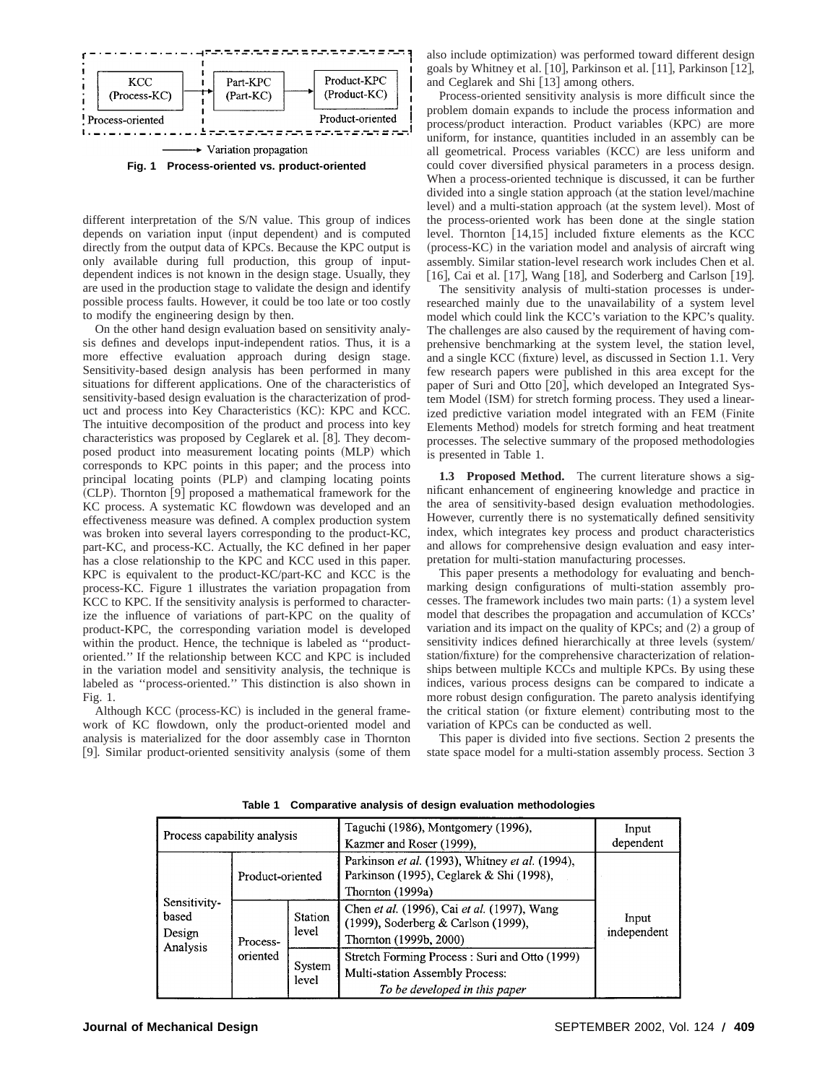

**Fig. 1 Process-oriented vs. product-oriented**

different interpretation of the S/N value. This group of indices depends on variation input (input dependent) and is computed directly from the output data of KPCs. Because the KPC output is only available during full production, this group of inputdependent indices is not known in the design stage. Usually, they are used in the production stage to validate the design and identify possible process faults. However, it could be too late or too costly to modify the engineering design by then.

On the other hand design evaluation based on sensitivity analysis defines and develops input-independent ratios. Thus, it is a more effective evaluation approach during design stage. Sensitivity-based design analysis has been performed in many situations for different applications. One of the characteristics of sensitivity-based design evaluation is the characterization of product and process into Key Characteristics (KC): KPC and KCC. The intuitive decomposition of the product and process into key characteristics was proposed by Ceglarek et al.  $[8]$ . They decomposed product into measurement locating points (MLP) which corresponds to KPC points in this paper; and the process into principal locating points (PLP) and clamping locating points (CLP). Thornton [9] proposed a mathematical framework for the KC process. A systematic KC flowdown was developed and an effectiveness measure was defined. A complex production system was broken into several layers corresponding to the product-KC, part-KC, and process-KC. Actually, the KC defined in her paper has a close relationship to the KPC and KCC used in this paper. KPC is equivalent to the product-KC/part-KC and KCC is the process-KC. Figure 1 illustrates the variation propagation from KCC to KPC. If the sensitivity analysis is performed to characterize the influence of variations of part-KPC on the quality of product-KPC, the corresponding variation model is developed within the product. Hence, the technique is labeled as ''productoriented.'' If the relationship between KCC and KPC is included in the variation model and sensitivity analysis, the technique is labeled as ''process-oriented.'' This distinction is also shown in Fig. 1.

Although  $KCC$  (process- $KC$ ) is included in the general framework of KC flowdown, only the product-oriented model and analysis is materialized for the door assembly case in Thornton [9]. Similar product-oriented sensitivity analysis (some of them also include optimization) was performed toward different design goals by Whitney et al. [10], Parkinson et al. [11], Parkinson [12], and Ceglarek and Shi [13] among others.

Process-oriented sensitivity analysis is more difficult since the problem domain expands to include the process information and process/product interaction. Product variables (KPC) are more uniform, for instance, quantities included in an assembly can be all geometrical. Process variables (KCC) are less uniform and could cover diversified physical parameters in a process design. When a process-oriented technique is discussed, it can be further divided into a single station approach (at the station level/machine level) and a multi-station approach (at the system level). Most of the process-oriented work has been done at the single station level. Thornton  $[14,15]$  included fixture elements as the KCC (process-KC) in the variation model and analysis of aircraft wing assembly. Similar station-level research work includes Chen et al. [16], Cai et al. [17], Wang [18], and Soderberg and Carlson [19].

The sensitivity analysis of multi-station processes is underresearched mainly due to the unavailability of a system level model which could link the KCC's variation to the KPC's quality. The challenges are also caused by the requirement of having comprehensive benchmarking at the system level, the station level, and a single KCC (fixture) level, as discussed in Section 1.1. Very few research papers were published in this area except for the paper of Suri and Otto [20], which developed an Integrated System Model (ISM) for stretch forming process. They used a linearized predictive variation model integrated with an FEM (Finite Elements Method) models for stretch forming and heat treatment processes. The selective summary of the proposed methodologies is presented in Table 1.

**1.3 Proposed Method.** The current literature shows a significant enhancement of engineering knowledge and practice in the area of sensitivity-based design evaluation methodologies. However, currently there is no systematically defined sensitivity index, which integrates key process and product characteristics and allows for comprehensive design evaluation and easy interpretation for multi-station manufacturing processes.

This paper presents a methodology for evaluating and benchmarking design configurations of multi-station assembly processes. The framework includes two main parts:  $(1)$  a system level model that describes the propagation and accumulation of KCCs' variation and its impact on the quality of KPCs; and  $(2)$  a group of sensitivity indices defined hierarchically at three levels (system/ station/fixture) for the comprehensive characterization of relationships between multiple KCCs and multiple KPCs. By using these indices, various process designs can be compared to indicate a more robust design configuration. The pareto analysis identifying the critical station (or fixture element) contributing most to the variation of KPCs can be conducted as well.

This paper is divided into five sections. Section 2 presents the state space model for a multi-station assembly process. Section 3

| Process capability analysis                 |                  |                  | Taguchi (1986), Montgomery (1996),<br>Kazmer and Roser (1999),                                                    | Input<br>dependent   |
|---------------------------------------------|------------------|------------------|-------------------------------------------------------------------------------------------------------------------|----------------------|
|                                             | Product-oriented |                  | Parkinson et al. (1993), Whitney et al. (1994),<br>Parkinson (1995), Ceglarek & Shi (1998),<br>Thornton (1999a)   |                      |
| Sensitivity-<br>based<br>Design<br>Analysis | Process-         | Station<br>level | Chen et al. (1996), Cai et al. (1997), Wang<br>(1999), Soderberg & Carlson (1999),<br>Thornton (1999b, 2000)      | Input<br>independent |
|                                             | oriented         | System<br>level  | Stretch Forming Process: Suri and Otto (1999)<br>Multi-station Assembly Process:<br>To be developed in this paper |                      |

**Table 1 Comparative analysis of design evaluation methodologies**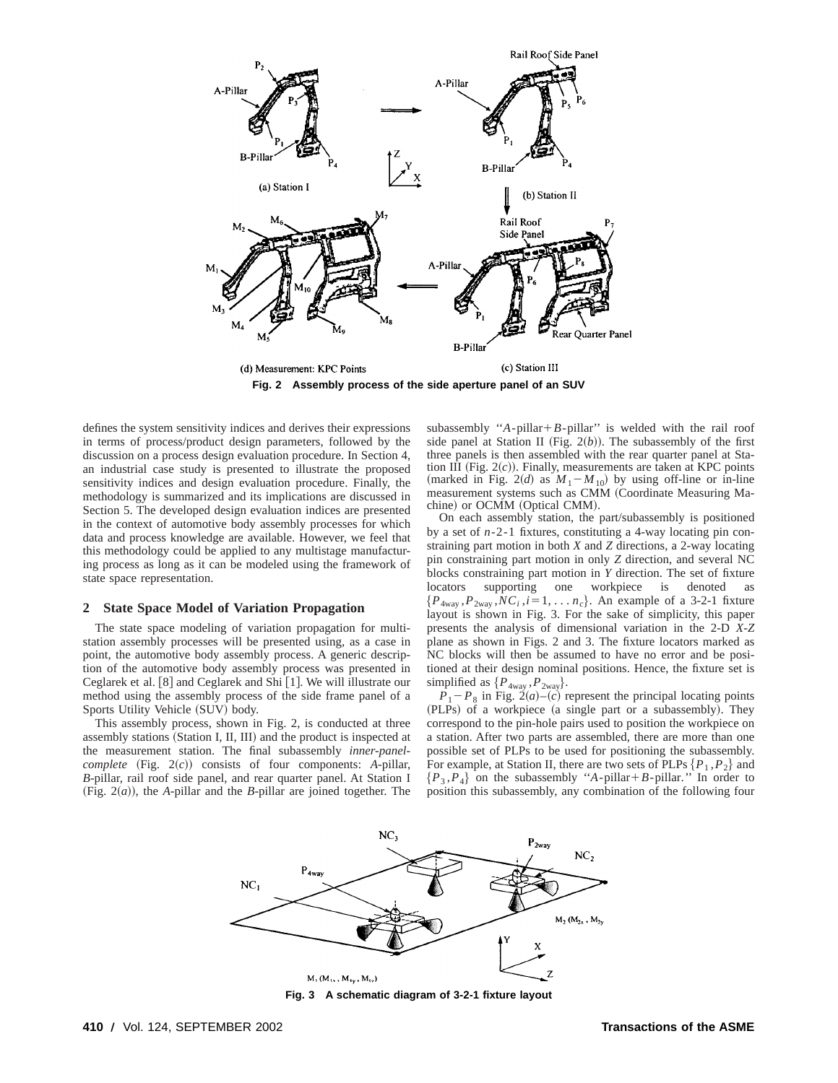

**Fig. 2 Assembly process of the side aperture panel of an SUV**

defines the system sensitivity indices and derives their expressions in terms of process/product design parameters, followed by the discussion on a process design evaluation procedure. In Section 4, an industrial case study is presented to illustrate the proposed sensitivity indices and design evaluation procedure. Finally, the methodology is summarized and its implications are discussed in Section 5. The developed design evaluation indices are presented in the context of automotive body assembly processes for which data and process knowledge are available. However, we feel that this methodology could be applied to any multistage manufacturing process as long as it can be modeled using the framework of state space representation.

### **2 State Space Model of Variation Propagation**

The state space modeling of variation propagation for multistation assembly processes will be presented using, as a case in point, the automotive body assembly process. A generic description of the automotive body assembly process was presented in Ceglarek et al.  $[8]$  and Ceglarek and Shi  $[1]$ . We will illustrate our method using the assembly process of the side frame panel of a Sports Utility Vehicle (SUV) body.

This assembly process, shown in Fig. 2, is conducted at three assembly stations (Station I, II, III) and the product is inspected at the measurement station. The final subassembly *inner-panel* $complete$  (Fig.  $2(c)$ ) consists of four components: *A*-pillar, *B*-pillar, rail roof side panel, and rear quarter panel. At Station I  $(Fig. 2(a))$ , the *A*-pillar and the *B*-pillar are joined together. The

subassembly " $A$ -pillar +  $B$ -pillar" is welded with the rail roof side panel at Station II (Fig.  $2(b)$ ). The subassembly of the first three panels is then assembled with the rear quarter panel at Station III (Fig.  $2(c)$ ). Finally, measurements are taken at KPC points (marked in Fig. 2(d) as  $M_1 - M_{10}$ ) by using off-line or in-line measurement systems such as CMM (Coordinate Measuring Machine) or OCMM (Optical CMM).

On each assembly station, the part/subassembly is positioned by a set of *n*-2-1 fixtures, constituting a 4-way locating pin constraining part motion in both *X* and *Z* directions, a 2-way locating pin constraining part motion in only *Z* direction, and several NC blocks constraining part motion in *Y* direction. The set of fixture locators supporting one workpiece is denoted as locators supporting one workpiece is denoted as  ${P_{4\text{way}}}, {P_{2\text{way}}}, \overline{NC}_i, i=1, \ldots, n_c$ . An example of a 3-2-1 fixture layout is shown in Fig. 3. For the sake of simplicity, this paper presents the analysis of dimensional variation in the 2-D *X-Z* plane as shown in Figs. 2 and 3. The fixture locators marked as NC blocks will then be assumed to have no error and be positioned at their design nominal positions. Hence, the fixture set is simplified as  $\{P_{4way}, P_{2way}\}.$ 

 $P_1 - P_8$  in Fig. 2(*a*)–(*c*) represent the principal locating points (PLPs) of a workpiece (a single part or a subassembly). They correspond to the pin-hole pairs used to position the workpiece on a station. After two parts are assembled, there are more than one possible set of PLPs to be used for positioning the subassembly. For example, at Station II, there are two sets of PLPs  $\{P_1, P_2\}$  and  $\{P_3, P_4\}$  on the subassembly "*A*-pillar+*B*-pillar." In order to position this subassembly, any combination of the following four



**Fig. 3 A schematic diagram of 3-2-1 fixture layout**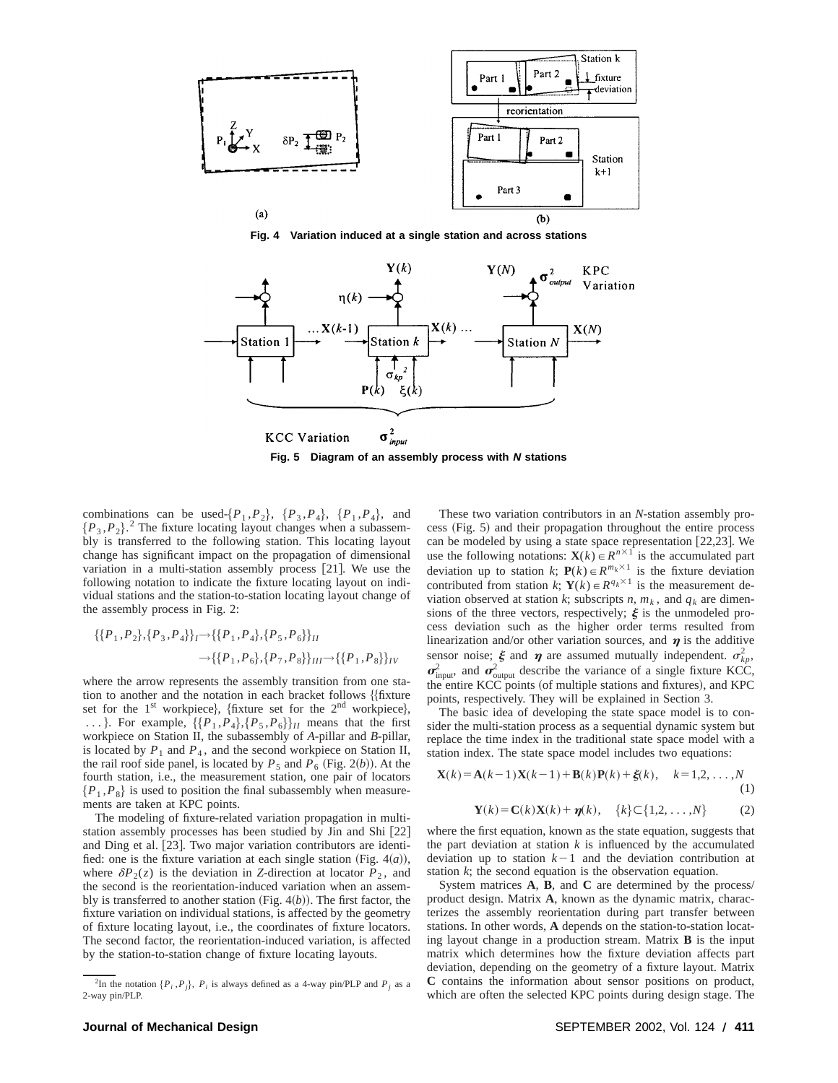

**Fig. 4 Variation induced at a single station and across stations**



**Fig. 5 Diagram of an assembly process with N stations**

combinations can be used- $\{P_1, P_2\}$ ,  $\{P_3, P_4\}$ ,  $\{P_1, P_4\}$ , and  $\{P_3, P_2\}$ .<sup>2</sup> The fixture locating layout changes when a subassembly is transferred to the following station. This locating layout change has significant impact on the propagation of dimensional variation in a multi-station assembly process  $[21]$ . We use the following notation to indicate the fixture locating layout on individual stations and the station-to-station locating layout change of the assembly process in Fig. 2:

$$
\{\{P_1, P_2\}, \{P_3, P_4\}\}\n\rightarrow \{\{P_1, P_4\}, \{P_5, P_6\}\}\n\quad\n\rightarrow \{\{P_1, P_6\}, \{P_7, P_8\}\}\n\quad\n\rightarrow \{\{P_1, P_8\}\}\n\rightarrow\n\{\{P_1, P_8\}\}\n\rightarrow\n\{\{P_1, P_8\}\}\n\rightarrow\n\{\{P_1, P_8\}\}\n\rightarrow\n\{\{P_1, P_8\}\}\n\rightarrow\n\{\{P_1, P_8\}\}\n\rightarrow\n\{\{P_1, P_8\}\}\n\rightarrow\n\{\{P_1, P_8\}\}\n\rightarrow\n\{\{P_1, P_8\}\}\n\rightarrow\n\{\{P_1, P_8\}\}\n\rightarrow\n\{\{P_1, P_8\}\}\n\rightarrow\n\{\{P_1, P_8\}\}\n\rightarrow\n\{\{P_1, P_8\}\}\n\rightarrow\n\{\{P_1, P_8\}\}\n\rightarrow\n\{\{P_1, P_8\}\}\n\rightarrow\n\{\{P_1, P_8\}\}\n\rightarrow\n\{\{P_1, P_8\}\}\n\rightarrow\n\{\{P_1, P_8\}\}\n\rightarrow\n\{\{P_1, P_8\}\}\n\rightarrow\n\{\{P_1, P_8\}\}\n\rightarrow\n\{\{P_1, P_8\}\}\n\rightarrow\n\{\{P_1, P_8\}\}\n\rightarrow\n\{\{P_1, P_8\}\}\n\rightarrow\n\{\{P_1, P_8\}\}\n\rightarrow\n\{\{P_1, P_8\}\}\n\rightarrow\n\{\{P_1, P_8\}\}\n\rightarrow\n\{\{P_1, P_8\}\}\n\rightarrow\n\{\{P_1, P_8\}\}\n\rightarrow\n\{\{P_1, P_8\}\}\n\rightarrow\n\{\{P_1, P_8\}\}\n\rightarrow\n\{\{P_1, P_8\}\}\n\rightarrow\n\{\{P_1, P_8\}\}\n\rightarrow\n\{\{P_1, P_8\}\}\n\rightarrow\n\{\{P_1, P_8\}\}\n\rightarrow\n\{\{P_1, P_8\}\}\n\rightarrow\n\{\{P_1, P_8\}\}\n\rightarrow\n\{\{P_1, P_8\}\}\n\rightarrow\n\{\{P_1, P_8\}\}\n\rightarrow\n\{\{P_1, P_8\}\}\n\rightarrow\n\{\{P_1, P_8
$$

where the arrow represents the assembly transition from one station to another and the notation in each bracket follows {{fixture} set for the  $1<sup>st</sup>$  workpiece}, {fixture set for the  $2<sup>nd</sup>$  workpiece}, ... }. For example,  $\{\{P_1, P_4\}, \{P_5, P_6\}\}_{II}$  means that the first workpiece on Station II, the subassembly of *A*-pillar and *B*-pillar, is located by  $P_1$  and  $P_4$ , and the second workpiece on Station II, the rail roof side panel, is located by  $P_5$  and  $P_6$  (Fig. 2(*b*)). At the fourth station, i.e., the measurement station, one pair of locators  ${P_1, P_8}$  is used to position the final subassembly when measurements are taken at KPC points.

The modeling of fixture-related variation propagation in multistation assembly processes has been studied by Jin and Shi  $[22]$ and Ding et al. [23]. Two major variation contributors are identified: one is the fixture variation at each single station (Fig.  $4(a)$ ), where  $\delta P_2(z)$  is the deviation in *Z*-direction at locator  $P_2$ , and the second is the reorientation-induced variation when an assembly is transferred to another station (Fig.  $4(b)$ ). The first factor, the fixture variation on individual stations, is affected by the geometry of fixture locating layout, i.e., the coordinates of fixture locators. The second factor, the reorientation-induced variation, is affected by the station-to-station change of fixture locating layouts.

These two variation contributors in an *N*-station assembly process (Fig. 5) and their propagation throughout the entire process can be modeled by using a state space representation  $[22,23]$ . We use the following notations:  $\mathbf{X}(k) \in \mathbb{R}^{n \times 1}$  is the accumulated part deviation up to station *k*;  $P(k) \in R^{m_k \times 1}$  is the fixture deviation contributed from station *k*;  $\mathbf{Y}(k) \in R^{q_k \times 1}$  is the measurement deviation observed at station *k*; subscripts *n*,  $m_k$ , and  $q_k$  are dimensions of the three vectors, respectively;  $\xi$  is the unmodeled process deviation such as the higher order terms resulted from linearization and/or other variation sources, and  $\eta$  is the additive sensor noise;  $\xi$  and  $\eta$  are assumed mutually independent.  $\sigma_{kp}^2$ ,  $\sigma_{\text{input}}^2$ , and  $\sigma_{\text{output}}^2$  describe the variance of a single fixture KCC, the entire KCC points (of multiple stations and fixtures), and KPC points, respectively. They will be explained in Section 3.

The basic idea of developing the state space model is to consider the multi-station process as a sequential dynamic system but replace the time index in the traditional state space model with a station index. The state space model includes two equations:

$$
\mathbf{X}(k) = \mathbf{A}(k-1)\mathbf{X}(k-1) + \mathbf{B}(k)\mathbf{P}(k) + \xi(k), \quad k = 1, 2, ..., N
$$
\n(1)

$$
\mathbf{Y}(k) = \mathbf{C}(k)\mathbf{X}(k) + \boldsymbol{\eta}(k), \quad \{k\} \subset \{1, 2, \dots, N\}
$$
 (2)

where the first equation, known as the state equation, suggests that the part deviation at station  $k$  is influenced by the accumulated deviation up to station  $k-1$  and the deviation contribution at station *k*; the second equation is the observation equation.

System matrices **A**, **B**, and **C** are determined by the process/ product design. Matrix **A**, known as the dynamic matrix, characterizes the assembly reorientation during part transfer between stations. In other words, **A** depends on the station-to-station locating layout change in a production stream. Matrix **B** is the input matrix which determines how the fixture deviation affects part deviation, depending on the geometry of a fixture layout. Matrix **C** contains the information about sensor positions on product, which are often the selected KPC points during design stage. The

<sup>&</sup>lt;sup>2</sup>In the notation  $\{P_i, P_j\}$ ,  $P_i$  is always defined as a 4-way pin/PLP and  $P_j$  as a 2-way pin/PLP.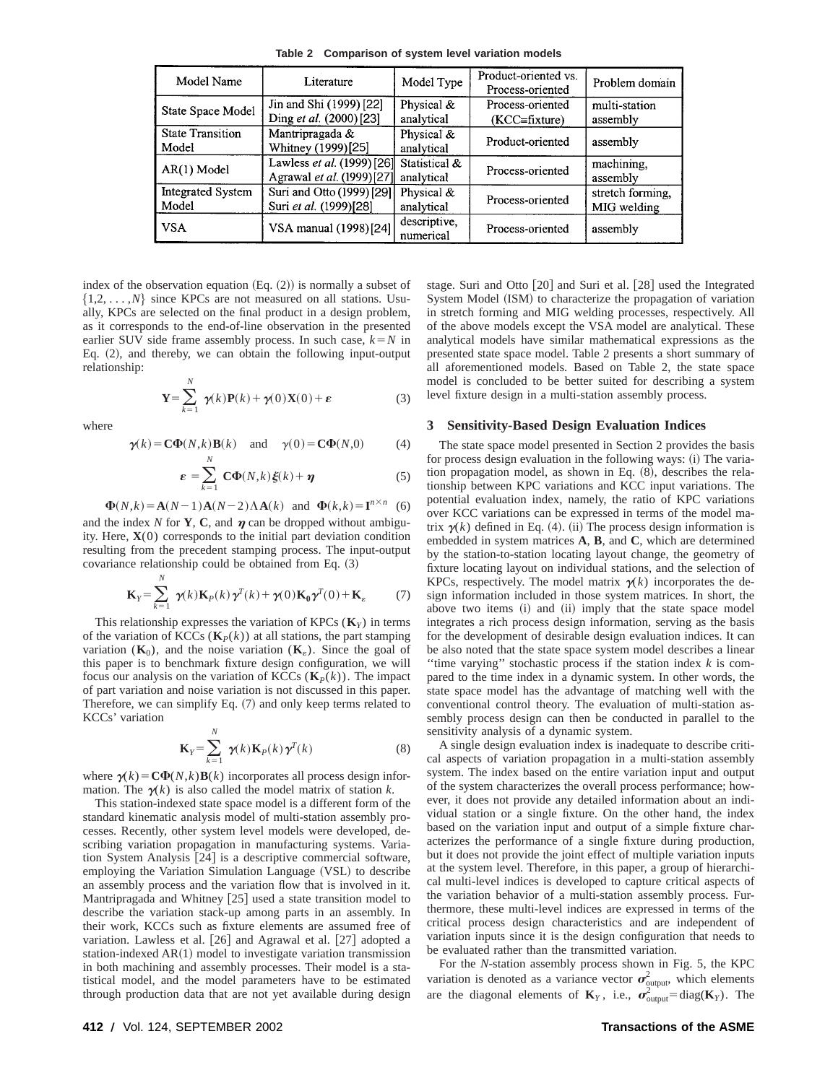| Comparison of system level variation models<br>Table 2 |                                                         |                             |                                          |                                 |  |
|--------------------------------------------------------|---------------------------------------------------------|-----------------------------|------------------------------------------|---------------------------------|--|
| Model Name                                             | Literature                                              | Model Type                  | Product-oriented vs.<br>Process-oriented | Problem domain                  |  |
| State Space Model                                      | Jin and Shi (1999) [22]<br>Ding et al. (2000) [23]      | Physical &<br>analytical    | Process-oriented<br>$(KCC=fixture)$      | multi-station<br>assembly       |  |
| <b>State Transition</b><br>Model                       | Mantripragada &<br>Whitney (1999)[25]                   | Physical &<br>analytical    | Product-oriented                         | assembly                        |  |
| AR(1) Model                                            | Lawless et al. (1999) [26]<br>Agrawal et al. (1999)[27] | Statistical &<br>analytical | Process-oriented                         | machining,<br>assembly          |  |
| <b>Integrated System</b><br>Model                      | Suri and Otto (1999) [29]<br>Suri et al. (1999)[28]     | Physical &<br>analytical    | Process-oriented                         | stretch forming,<br>MIG welding |  |
| <b>VSA</b>                                             | VSA manual (1998)[24]                                   | descriptive,<br>numerical   | Process-oriented                         | assembly                        |  |

index of the observation equation  $(Eq. (2))$  is normally a subset of  $\{1,2,\ldots,N\}$  since KPCs are not measured on all stations. Usually, KPCs are selected on the final product in a design problem, as it corresponds to the end-of-line observation in the presented earlier SUV side frame assembly process. In such case,  $k=N$  in Eq.  $(2)$ , and thereby, we can obtain the following input-output relationship:

$$
\mathbf{Y} = \sum_{k=1}^{N} \gamma(k) \mathbf{P}(k) + \gamma(0) \mathbf{X}(0) + \boldsymbol{\varepsilon}
$$
 (3)

where

$$
\gamma(k) = \mathbf{C}\Phi(N,k)\mathbf{B}(k)
$$
 and  $\gamma(0) = \mathbf{C}\Phi(N,0)$  (4)

$$
\varepsilon = \sum_{k=1}^{N} \mathbf{C} \Phi(N,k) \xi(k) + \pmb{\eta}
$$
 (5)

$$
\Phi(N,k) = \mathbf{A}(N-1)\mathbf{A}(N-2)\Lambda\mathbf{A}(k) \text{ and } \Phi(k,k) = \mathbf{I}^{n \times n} \tag{6}
$$

and the index N for **Y**, **C**, and  $\eta$  can be dropped without ambiguity. Here,  $X(0)$  corresponds to the initial part deviation condition resulting from the precedent stamping process. The input-output covariance relationship could be obtained from Eq.  $(3)$ 

$$
\mathbf{K}_{Y} = \sum_{k=1}^{N} \gamma(k) \mathbf{K}_{P}(k) \gamma^{T}(k) + \gamma(0) \mathbf{K}_{0} \gamma^{T}(0) + \mathbf{K}_{\varepsilon}
$$
 (7)

This relationship expresses the variation of KPCs  $(K_Y)$  in terms of the variation of KCCs ( $\mathbf{K}_P(k)$ ) at all stations, the part stamping variation  $(K_0)$ , and the noise variation  $(K_{\rm s})$ . Since the goal of this paper is to benchmark fixture design configuration, we will focus our analysis on the variation of KCCs ( $\mathbf{K}_P(k)$ ). The impact of part variation and noise variation is not discussed in this paper. Therefore, we can simplify Eq.  $(7)$  and only keep terms related to KCCs' variation

$$
\mathbf{K}_{Y} = \sum_{k=1}^{N} \gamma(k) \mathbf{K}_{P}(k) \gamma^{T}(k)
$$
\n(8)

where  $\gamma(k) = C\Phi(N,k)B(k)$  incorporates all process design information. The  $\gamma(k)$  is also called the model matrix of station *k*.

This station-indexed state space model is a different form of the standard kinematic analysis model of multi-station assembly processes. Recently, other system level models were developed, describing variation propagation in manufacturing systems. Variation System Analysis [24] is a descriptive commercial software, employing the Variation Simulation Language (VSL) to describe an assembly process and the variation flow that is involved in it. Mantripragada and Whitney  $[25]$  used a state transition model to describe the variation stack-up among parts in an assembly. In their work, KCCs such as fixture elements are assumed free of variation. Lawless et al.  $[26]$  and Agrawal et al.  $[27]$  adopted a station-indexed  $AR(1)$  model to investigate variation transmission in both machining and assembly processes. Their model is a statistical model, and the model parameters have to be estimated through production data that are not yet available during design

stage. Suri and Otto  $\lceil 20 \rceil$  and Suri et al.  $\lceil 28 \rceil$  used the Integrated System Model (ISM) to characterize the propagation of variation in stretch forming and MIG welding processes, respectively. All of the above models except the VSA model are analytical. These analytical models have similar mathematical expressions as the presented state space model. Table 2 presents a short summary of all aforementioned models. Based on Table 2, the state space model is concluded to be better suited for describing a system level fixture design in a multi-station assembly process.

#### **3 Sensitivity-Based Design Evaluation Indices**

The state space model presented in Section 2 provides the basis for process design evaluation in the following ways:  $(i)$  The variation propagation model, as shown in Eq.  $(8)$ , describes the relationship between KPC variations and KCC input variations. The potential evaluation index, namely, the ratio of KPC variations over KCC variations can be expressed in terms of the model matrix  $\gamma(k)$  defined in Eq. (4). (ii) The process design information is embedded in system matrices **A**, **B**, and **C**, which are determined by the station-to-station locating layout change, the geometry of fixture locating layout on individual stations, and the selection of KPCs, respectively. The model matrix  $\gamma(k)$  incorporates the design information included in those system matrices. In short, the above two items (i) and (ii) imply that the state space model integrates a rich process design information, serving as the basis for the development of desirable design evaluation indices. It can be also noted that the state space system model describes a linear "time varying" stochastic process if the station index  $k$  is compared to the time index in a dynamic system. In other words, the state space model has the advantage of matching well with the conventional control theory. The evaluation of multi-station assembly process design can then be conducted in parallel to the sensitivity analysis of a dynamic system.

A single design evaluation index is inadequate to describe critical aspects of variation propagation in a multi-station assembly system. The index based on the entire variation input and output of the system characterizes the overall process performance; however, it does not provide any detailed information about an individual station or a single fixture. On the other hand, the index based on the variation input and output of a simple fixture characterizes the performance of a single fixture during production, but it does not provide the joint effect of multiple variation inputs at the system level. Therefore, in this paper, a group of hierarchical multi-level indices is developed to capture critical aspects of the variation behavior of a multi-station assembly process. Furthermore, these multi-level indices are expressed in terms of the critical process design characteristics and are independent of variation inputs since it is the design configuration that needs to be evaluated rather than the transmitted variation.

For the *N*-station assembly process shown in Fig. 5, the KPC variation is denoted as a variance vector  $\sigma_{\text{output}}^2$ , which elements are the diagonal elements of  $\mathbf{K}_Y$ , i.e.,  $\sigma_{\text{output}}^2 = \text{diag}(\mathbf{K}_Y)$ . The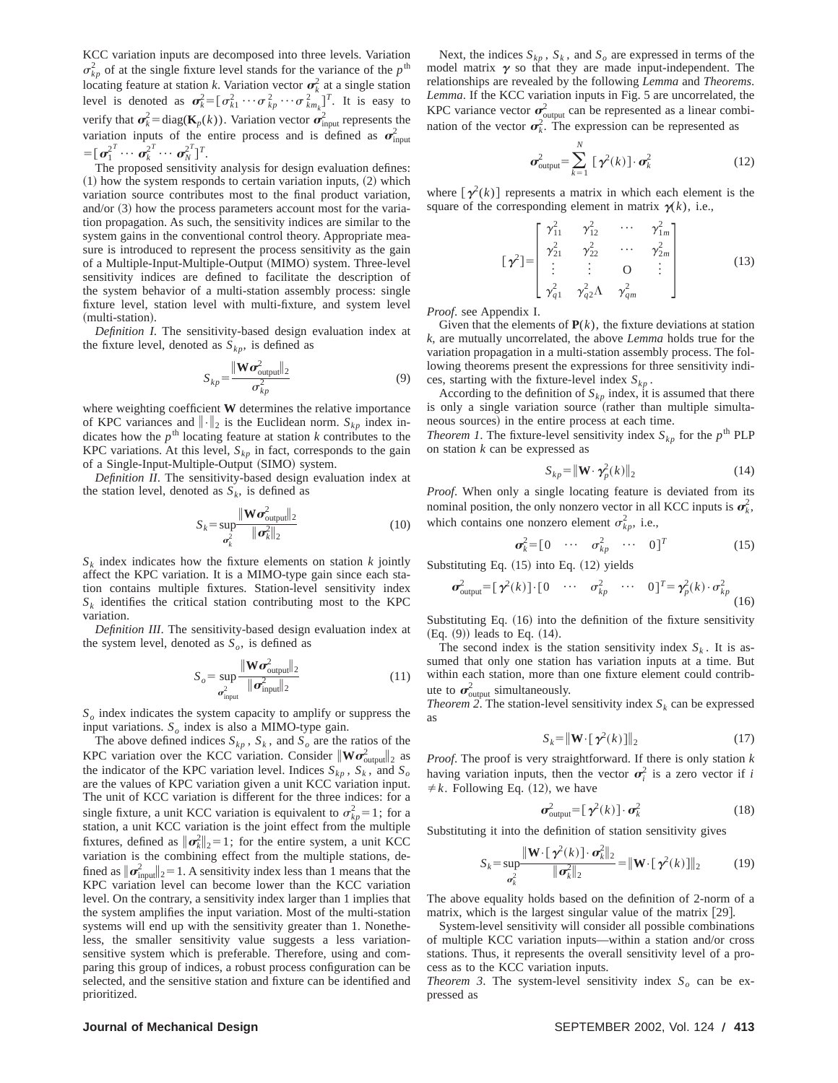KCC variation inputs are decomposed into three levels. Variation  $\sigma_{kp}^2$  of at the single fixture level stands for the variance of the  $p^{\text{th}}$ locating feature at station *k*. Variation vector  $\sigma_k^2$  at a single station level is denoted as  $\sigma_k^2 = [\sigma_{k1}^2 \cdots \sigma_{kp}^2 \cdots \sigma_{km_k}^2]^T$ . It is easy to verify that  $\sigma_k^2 = \text{diag}(\mathbf{K}_p(k))$ . Variation vector  $\sigma_{\text{input}}^2$  represents the variation inputs of the entire process and is defined as  $\sigma_{\text{input}}^2$  $=[\boldsymbol{\sigma}_1^2 \cdots \boldsymbol{\sigma}_k^2 \cdots \boldsymbol{\sigma}_N^2]^T.$ 

The proposed sensitivity analysis for design evaluation defines:  $(1)$  how the system responds to certain variation inputs,  $(2)$  which variation source contributes most to the final product variation, and/or  $(3)$  how the process parameters account most for the variation propagation. As such, the sensitivity indices are similar to the system gains in the conventional control theory. Appropriate measure is introduced to represent the process sensitivity as the gain of a Multiple-Input-Multiple-Output (MIMO) system. Three-level sensitivity indices are defined to facilitate the description of the system behavior of a multi-station assembly process: single fixture level, station level with multi-fixture, and system level (multi-station).

*Definition I*. The sensitivity-based design evaluation index at the fixture level, denoted as  $S_{kp}$ , is defined as

$$
S_{kp} = \frac{\|\mathbf{W}\boldsymbol{\sigma}_{\text{output}}^2\|_2}{\sigma_{kp}^2}
$$
 (9)

where weighting coefficient **W** determines the relative importance of KPC variances and  $\|\cdot\|_2$  is the Euclidean norm.  $S_{kp}$  index indicates how the  $p<sup>th</sup>$  locating feature at station  $k$  contributes to the KPC variations. At this level,  $S_{kp}$  in fact, corresponds to the gain of a Single-Input-Multiple-Output (SIMO) system.

*Definition II*. The sensitivity-based design evaluation index at the station level, denoted as  $S_k$ , is defined as

$$
S_k = \sup_{\sigma_k^2} \frac{\|\mathbf{W}\sigma_{\text{output}}^2\|_2}{\|\sigma_k^2\|_2}
$$
(10)

 $S_k$  index indicates how the fixture elements on station  $k$  jointly affect the KPC variation. It is a MIMO-type gain since each station contains multiple fixtures. Station-level sensitivity index  $S_k$  identifies the critical station contributing most to the KPC variation.

*Definition III*. The sensitivity-based design evaluation index at the system level, denoted as  $S_o$ , is defined as

$$
S_o = \sup_{\substack{\sigma_{\text{input}}^2}} \frac{\|\mathbf{W}\sigma_{\text{output}}^2\|_2}{\|\sigma_{\text{input}}^2\|_2}
$$
 (11)

*So* index indicates the system capacity to amplify or suppress the input variations.  $S<sub>o</sub>$  index is also a MIMO-type gain.

The above defined indices  $S_{kp}$ ,  $S_k$ , and  $S_o$  are the ratios of the KPC variation over the KCC variation. Consider  $\|\mathbf{W}\boldsymbol{\sigma}_{\text{output}}^2\|_2$  as the indicator of the KPC variation level. Indices  $S_{kp}$ ,  $S_k$ , and  $S_o$ are the values of KPC variation given a unit KCC variation input. The unit of KCC variation is different for the three indices: for a single fixture, a unit KCC variation is equivalent to  $\sigma_{kp}^2 = 1$ ; for a station, a unit KCC variation is the joint effect from the multiple fixtures, defined as  $\|\boldsymbol{\sigma}_k^2\|_2 = 1$ ; for the entire system, a unit KCC variation is the combining effect from the multiple stations, defined as  $\|\boldsymbol{\sigma}_{input}^2\|_2 = 1$ . A sensitivity index less than 1 means that the KPC variation level can become lower than the KCC variation level. On the contrary, a sensitivity index larger than 1 implies that the system amplifies the input variation. Most of the multi-station systems will end up with the sensitivity greater than 1. Nonetheless, the smaller sensitivity value suggests a less variationsensitive system which is preferable. Therefore, using and comparing this group of indices, a robust process configuration can be selected, and the sensitive station and fixture can be identified and prioritized.

Next, the indices  $S_{kp}$ ,  $S_k$ , and  $S_o$  are expressed in terms of the model matrix  $\gamma$  so that they are made input-independent. The relationships are revealed by the following *Lemma* and *Theorems*. *Lemma*. If the KCC variation inputs in Fig. 5 are uncorrelated, the KPC variance vector  $\sigma_{\text{output}}^2$  can be represented as a linear combination of the vector  $\sigma_k^2$ . The expression can be represented as

$$
\boldsymbol{\sigma}_{\text{output}}^2 = \sum_{k=1}^N \left[ \boldsymbol{\gamma}^2(k) \right] \boldsymbol{\cdot} \boldsymbol{\sigma}_k^2 \tag{12}
$$

where  $[\gamma^2(k)]$  represents a matrix in which each element is the square of the corresponding element in matrix  $\gamma(k)$ , i.e.,

$$
\begin{bmatrix} \gamma_{11}^2 & \gamma_{12}^2 & \cdots & \gamma_{1m}^2 \\ \gamma_{21}^2 & \gamma_{22}^2 & \cdots & \gamma_{2m}^2 \\ \vdots & \vdots & 0 & \vdots \\ \gamma_{q1}^2 & \gamma_{q2}^2 \Lambda & \gamma_{qm}^2 \end{bmatrix}
$$
 (13)

*Proof*. see Appendix I.

Given that the elements of  $P(k)$ , the fixture deviations at station *k*, are mutually uncorrelated, the above *Lemma* holds true for the variation propagation in a multi-station assembly process. The following theorems present the expressions for three sensitivity indices, starting with the fixture-level index  $S_{kp}$ .

According to the definition of  $S_{kp}$  index, it is assumed that there is only a single variation source (rather than multiple simultaneous sources) in the entire process at each time.

*Theorem 1*. The fixture-level sensitivity index  $S_{kp}$  for the  $p^{\text{th}}$  PLP on station *k* can be expressed as

$$
S_{kp} = \|\mathbf{W} \cdot \boldsymbol{\gamma}_p^2(k)\|_2 \tag{14}
$$

*Proof*. When only a single locating feature is deviated from its nominal position, the only nonzero vector in all KCC inputs is  $\sigma_k^2$ , which contains one nonzero element  $\sigma_{kp}^2$ , i.e.,

$$
\boldsymbol{\sigma}_k^2 = \begin{bmatrix} 0 & \cdots & \sigma_{kp}^2 & \cdots & 0 \end{bmatrix}^T \tag{15}
$$

Substituting Eq.  $(15)$  into Eq.  $(12)$  yields

$$
\boldsymbol{\sigma}_{\text{output}}^2 = [\boldsymbol{\gamma}^2(k)] \cdot [0 \quad \cdots \quad \boldsymbol{\sigma}_{kp}^2 \quad \cdots \quad 0]^T = \boldsymbol{\gamma}_p^2(k) \cdot \boldsymbol{\sigma}_{kp}^2 \tag{16}
$$

Substituting Eq.  $(16)$  into the definition of the fixture sensitivity  $(Eq. (9))$  leads to Eq.  $(14)$ .

The second index is the station sensitivity index  $S_k$ . It is assumed that only one station has variation inputs at a time. But within each station, more than one fixture element could contribute to  $\sigma_{\text{output}}^2$  simultaneously.

*Theorem 2.* The station-level sensitivity index  $S_k$  can be expressed as

$$
S_k = \|\mathbf{W} \cdot \left[\boldsymbol{\gamma}^2(k)\right]\|_2 \tag{17}
$$

*Proof*. The proof is very straightforward. If there is only station *k* having variation inputs, then the vector  $\sigma_i^2$  is a zero vector if *i*  $\neq k$ . Following Eq. (12), we have

$$
\boldsymbol{\sigma}_{\text{output}}^2 = [\boldsymbol{\gamma}^2(k)] \cdot \boldsymbol{\sigma}_k^2 \tag{18}
$$

Substituting it into the definition of station sensitivity gives

$$
S_k = \sup_{\sigma_k^2} \frac{\|\mathbf{W} \cdot [\boldsymbol{\gamma}^2(k)] \cdot \boldsymbol{\sigma}_k^2\|_2}{\|\boldsymbol{\sigma}_k^2\|_2} = \|\mathbf{W} \cdot [\boldsymbol{\gamma}^2(k)]\|_2 \tag{19}
$$

The above equality holds based on the definition of 2-norm of a matrix, which is the largest singular value of the matrix  $[29]$ .

System-level sensitivity will consider all possible combinations of multiple KCC variation inputs—within a station and/or cross stations. Thus, it represents the overall sensitivity level of a process as to the KCC variation inputs.

*Theorem 3.* The system-level sensitivity index  $S<sub>o</sub>$  can be expressed as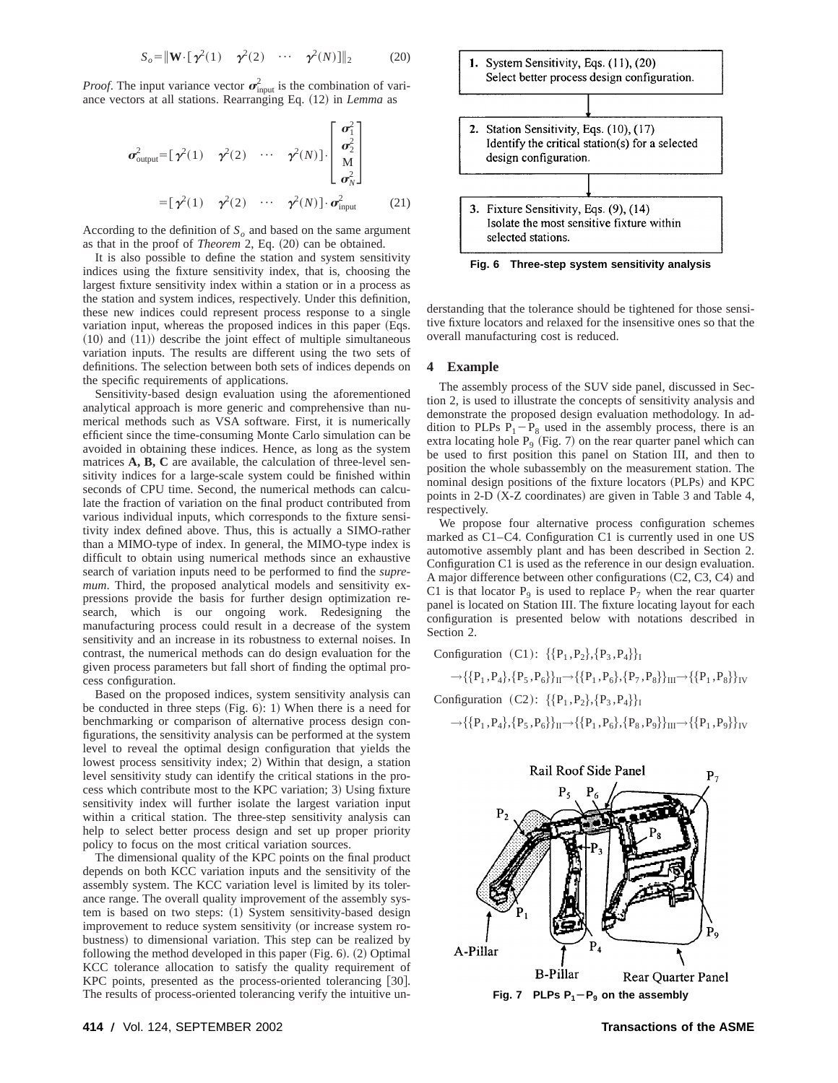$$
S_o = ||\mathbf{W} \cdot [\mathbf{\gamma}^2(1) \quad \mathbf{\gamma}^2(2) \quad \cdots \quad \mathbf{\gamma}^2(N)]||_2 \tag{20}
$$

*Proof.* The input variance vector  $\sigma_{input}^2$  is the combination of variance vectors at all stations. Rearranging Eq. (12) in *Lemma* as

$$
\sigma_{\text{output}}^2 = [\gamma^2(1) \quad \gamma^2(2) \quad \cdots \quad \gamma^2(N)] \cdot \begin{bmatrix} \sigma_1^2 \\ \sigma_2^2 \\ M \\ \sigma_N^2 \end{bmatrix}
$$

$$
= [\gamma^2(1) \quad \gamma^2(2) \quad \cdots \quad \gamma^2(N)] \cdot \sigma_{\text{input}}^2 \tag{21}
$$

According to the definition of  $S<sub>o</sub>$  and based on the same argument as that in the proof of *Theorem* 2, Eq. (20) can be obtained.

It is also possible to define the station and system sensitivity indices using the fixture sensitivity index, that is, choosing the largest fixture sensitivity index within a station or in a process as the station and system indices, respectively. Under this definition, these new indices could represent process response to a single variation input, whereas the proposed indices in this paper (Eqs.  $(10)$  and  $(11)$ ) describe the joint effect of multiple simultaneous variation inputs. The results are different using the two sets of definitions. The selection between both sets of indices depends on the specific requirements of applications.

Sensitivity-based design evaluation using the aforementioned analytical approach is more generic and comprehensive than numerical methods such as VSA software. First, it is numerically efficient since the time-consuming Monte Carlo simulation can be avoided in obtaining these indices. Hence, as long as the system matrices **A, B, C** are available, the calculation of three-level sensitivity indices for a large-scale system could be finished within seconds of CPU time. Second, the numerical methods can calculate the fraction of variation on the final product contributed from various individual inputs, which corresponds to the fixture sensitivity index defined above. Thus, this is actually a SIMO-rather than a MIMO-type of index. In general, the MIMO-type index is difficult to obtain using numerical methods since an exhaustive search of variation inputs need to be performed to find the *supremum*. Third, the proposed analytical models and sensitivity expressions provide the basis for further design optimization research, which is our ongoing work. Redesigning the manufacturing process could result in a decrease of the system sensitivity and an increase in its robustness to external noises. In contrast, the numerical methods can do design evaluation for the given process parameters but fall short of finding the optimal process configuration.

Based on the proposed indices, system sensitivity analysis can be conducted in three steps  $(Fig. 6): 1$ ) When there is a need for benchmarking or comparison of alternative process design configurations, the sensitivity analysis can be performed at the system level to reveal the optimal design configuration that yields the lowest process sensitivity index; 2) Within that design, a station level sensitivity study can identify the critical stations in the process which contribute most to the KPC variation; 3) Using fixture sensitivity index will further isolate the largest variation input within a critical station. The three-step sensitivity analysis can help to select better process design and set up proper priority policy to focus on the most critical variation sources.

The dimensional quality of the KPC points on the final product depends on both KCC variation inputs and the sensitivity of the assembly system. The KCC variation level is limited by its tolerance range. The overall quality improvement of the assembly system is based on two steps: (1) System sensitivity-based design improvement to reduce system sensitivity (or increase system robustness) to dimensional variation. This step can be realized by following the method developed in this paper (Fig.  $6$ ). (2) Optimal KCC tolerance allocation to satisfy the quality requirement of KPC points, presented as the process-oriented tolerancing  $[30]$ . The results of process-oriented tolerancing verify the intuitive un-



derstanding that the tolerance should be tightened for those sensitive fixture locators and relaxed for the insensitive ones so that the overall manufacturing cost is reduced.

#### **4 Example**

The assembly process of the SUV side panel, discussed in Section 2, is used to illustrate the concepts of sensitivity analysis and demonstrate the proposed design evaluation methodology. In addition to PLPs  $P_1 - P_8$  used in the assembly process, there is an extra locating hole  $P_9$  (Fig. 7) on the rear quarter panel which can be used to first position this panel on Station III, and then to position the whole subassembly on the measurement station. The nominal design positions of the fixture locators (PLPs) and KPC points in 2-D  $(X-Z$  coordinates) are given in Table 3 and Table 4, respectively.

We propose four alternative process configuration schemes marked as C1–C4. Configuration C1 is currently used in one US automotive assembly plant and has been described in Section 2. Configuration C1 is used as the reference in our design evaluation. A major difference between other configurations  $(C2, C3, C4)$  and C1 is that locator  $P_9$  is used to replace  $P_7$  when the rear quarter panel is located on Station III. The fixture locating layout for each configuration is presented below with notations described in Section 2.

Configuration  $(C1): \{ {P_1, P_2}, {P_3, P_4} \}_I$ 

$$
\longrightarrow \! \{ \{P_1, P_4\}, \{P_5, P_6\} \}_{II} \!\! \rightarrow \! \{ \{P_1, P_6\}, \{P_7, P_8\} \}_{III} \!\! \rightarrow \! \{ \{P_1, P_8\} \}_{IV}
$$

Configuration  $(C2): \{ {P_1, P_2}, {P_3, P_4} \}$ 

$$
\rightarrow\hspace{-.15cm}\{\{P_1,P_4\},\!\{P_5,P_6\}\}_{II}\!\!\rightarrow\hspace{-.15cm}\{\{P_1,P_6\},\!\{P_8,P_9\}\}_{III}\!\rightarrow\hspace{-.15cm}\{\{P_1,P_9\}\}_{IV}
$$

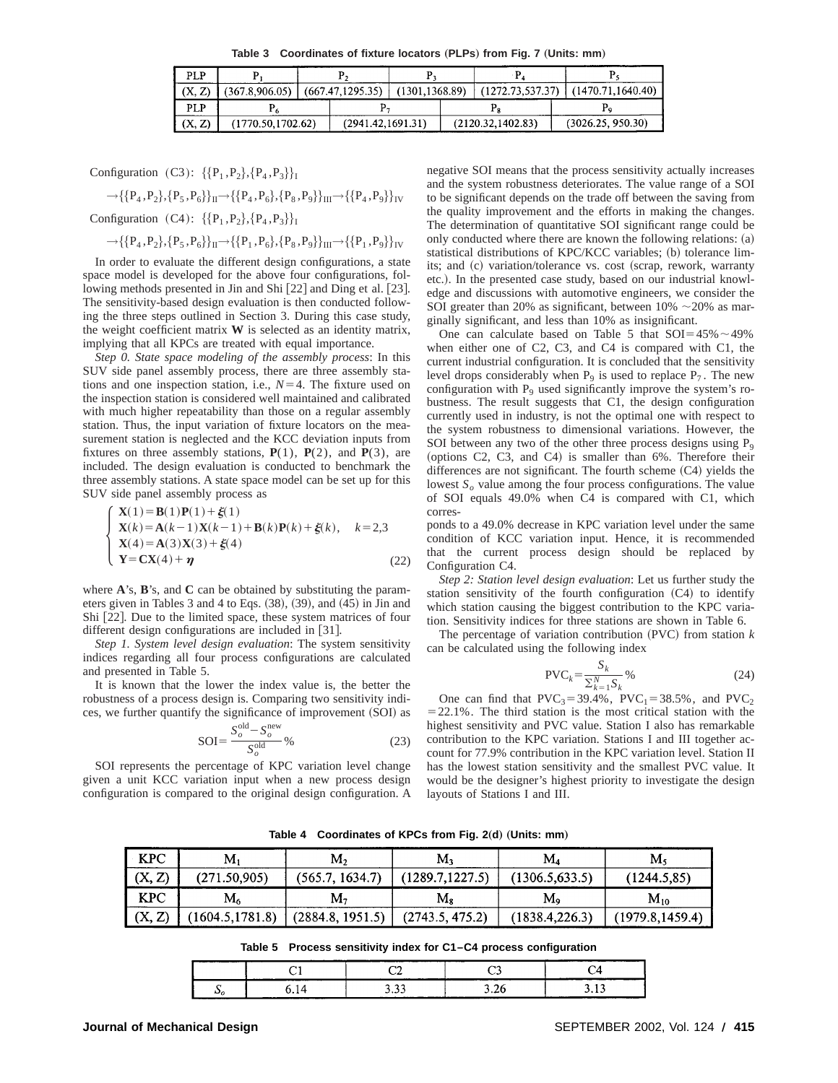Table 3 Coordinates of fixture locators (PLPs) from Fig. 7 (Units: mm)

| PLP        |                   |                    |  |                 |                    |                    |
|------------|-------------------|--------------------|--|-----------------|--------------------|--------------------|
| (X, Z)     | (367.8,906.05)    | (667.47, 1295.35)  |  | (1301, 1368.89) | (1272.73.537.37)   | (1470.71, 1640.40) |
| <b>PLP</b> |                   |                    |  |                 |                    |                    |
| (X, Z)     | (1770.50,1702.62) | (2941.42, 1691.31) |  |                 | (2120.32, 1402.83) | (3026.25, 950.30)  |

Configuration  $(C3): \{ {P_1, P_2}, {P_4, P_3} \}_I$ 

$$
\rightarrow \{\{P_4, P_2\}, \{P_5, P_6\}\}_\Pi \rightarrow \{\{P_4, P_6\}, \{P_8, P_9\}\}_\Pi \rightarrow \{\{P_4, P_9\}\}_\Pi
$$
  
Configuration (C4): { $\{P_1, P_2\}, \{P_4, P_3\}\}_\Pi$ 

$$
\rightarrow \! \{\{P_4,P_2\},\!\{P_5,P_6\}\}_{\text{II}} \!\!\rightarrow\! \{\{P_1,P_6\},\!\{P_8,P_9\}\}_{\text{III}} \!\! \rightarrow\! \{\{P_1,P_9\}\}_{\text{IV}}
$$

In order to evaluate the different design configurations, a state space model is developed for the above four configurations, following methods presented in Jin and Shi  $[22]$  and Ding et al.  $[23]$ . The sensitivity-based design evaluation is then conducted following the three steps outlined in Section 3. During this case study, the weight coefficient matrix **W** is selected as an identity matrix, implying that all KPCs are treated with equal importance.

*Step 0. State space modeling of the assembly process*: In this SUV side panel assembly process, there are three assembly stations and one inspection station, i.e.,  $N=4$ . The fixture used on the inspection station is considered well maintained and calibrated with much higher repeatability than those on a regular assembly station. Thus, the input variation of fixture locators on the measurement station is neglected and the KCC deviation inputs from fixtures on three assembly stations, **P**(1), **P**(2), and **P**(3), are included. The design evaluation is conducted to benchmark the three assembly stations. A state space model can be set up for this SUV side panel assembly process as

$$
\begin{cases}\n\mathbf{X}(1) = \mathbf{B}(1)\mathbf{P}(1) + \xi(1) \\
\mathbf{X}(k) = \mathbf{A}(k-1)\mathbf{X}(k-1) + \mathbf{B}(k)\mathbf{P}(k) + \xi(k), \quad k = 2,3 \\
\mathbf{X}(4) = \mathbf{A}(3)\mathbf{X}(3) + \xi(4) \\
\mathbf{Y} = \mathbf{C}\mathbf{X}(4) + \eta\n\end{cases}
$$
\n(22)

where **A**'s, **B**'s, and **C** can be obtained by substituting the parameters given in Tables 3 and 4 to Eqs.  $(38)$ ,  $(39)$ , and  $(45)$  in Jin and Shi [22]. Due to the limited space, these system matrices of four different design configurations are included in  $[31]$ .

*Step 1. System level design evaluation*: The system sensitivity indices regarding all four process configurations are calculated and presented in Table 5.

It is known that the lower the index value is, the better the robustness of a process design is. Comparing two sensitivity indices, we further quantify the significance of improvement (SOI) as

$$
SOI = \frac{S_o^{\text{old}} - S_o^{\text{new}}}{S_o^{\text{old}}} % \tag{23}
$$

SOI represents the percentage of KPC variation level change given a unit KCC variation input when a new process design configuration is compared to the original design configuration. A negative SOI means that the process sensitivity actually increases and the system robustness deteriorates. The value range of a SOI to be significant depends on the trade off between the saving from the quality improvement and the efforts in making the changes. The determination of quantitative SOI significant range could be only conducted where there are known the following relations:  $(a)$ statistical distributions of KPC/KCC variables; (b) tolerance limits; and (c) variation/tolerance vs. cost (scrap, rework, warranty etc.). In the presented case study, based on our industrial knowledge and discussions with automotive engineers, we consider the SOI greater than 20% as significant, between 10%  $\sim$ 20% as marginally significant, and less than 10% as insignificant.

One can calculate based on Table 5 that  $SOI = 45\% \sim 49\%$ when either one of C2, C3, and C4 is compared with C1, the current industrial configuration. It is concluded that the sensitivity level drops considerably when  $P_9$  is used to replace  $P_7$ . The new configuration with  $P_9$  used significantly improve the system's robustness. The result suggests that C1, the design configuration currently used in industry, is not the optimal one with respect to the system robustness to dimensional variations. However, the SOI between any two of the other three process designs using  $P<sub>9</sub>$ (options C2, C3, and C4) is smaller than  $6\%$ . Therefore their differences are not significant. The fourth scheme  $(C4)$  yields the lowest  $S<sub>o</sub>$  value among the four process configurations. The value of SOI equals 49.0% when C4 is compared with C1, which corres-

ponds to a 49.0% decrease in KPC variation level under the same condition of KCC variation input. Hence, it is recommended that the current process design should be replaced by Configuration C4.

*Step 2: Station level design evaluation*: Let us further study the station sensitivity of the fourth configuration  $(C4)$  to identify which station causing the biggest contribution to the KPC variation. Sensitivity indices for three stations are shown in Table 6.

The percentage of variation contribution  $(PVC)$  from station  $k$ can be calculated using the following index

$$
PVC_k = \frac{S_k}{\sum_{k=1}^{N} S_k} \%
$$
\n(24)

One can find that  $PVC_3 = 39.4\%$ ,  $PVC_1 = 38.5\%$ , and  $PVC_2$  $=22.1\%$ . The third station is the most critical station with the highest sensitivity and PVC value. Station I also has remarkable contribution to the KPC variation. Stations I and III together account for 77.9% contribution in the KPC variation level. Station II has the lowest station sensitivity and the smallest PVC value. It would be the designer's highest priority to investigate the design layouts of Stations I and III.

| <b>KPC</b> | M                | M۶               | $M_{\rm{2}}$     | $M_{4}$         | M،               |
|------------|------------------|------------------|------------------|-----------------|------------------|
| (X, Z)     | (271.50,905)     | (565.7, 1634.7)  | (1289.7, 1227.5) | (1306.5, 633.5) | (1244.5, 85)     |
| <b>KPC</b> | M,               | M7               | Mg               | M۰              | $M_{10}$         |
| (X, Z)     | (1604.5, 1781.8) | (2884.8, 1951.5) | (2743.5, 475.2)  | (1838.4, 226.3) | (1979.8, 1459.4) |

Table 4 Coordinates of KPCs from Fig. 2(d) (Units: mm)

**Table 5 Process sensitivity index for C1–C4 process configuration**

|   | ------<br>____ | 77<br>----    |      |  |
|---|----------------|---------------|------|--|
| ້ | -----          | $\sim$<br>--- | ,,,, |  |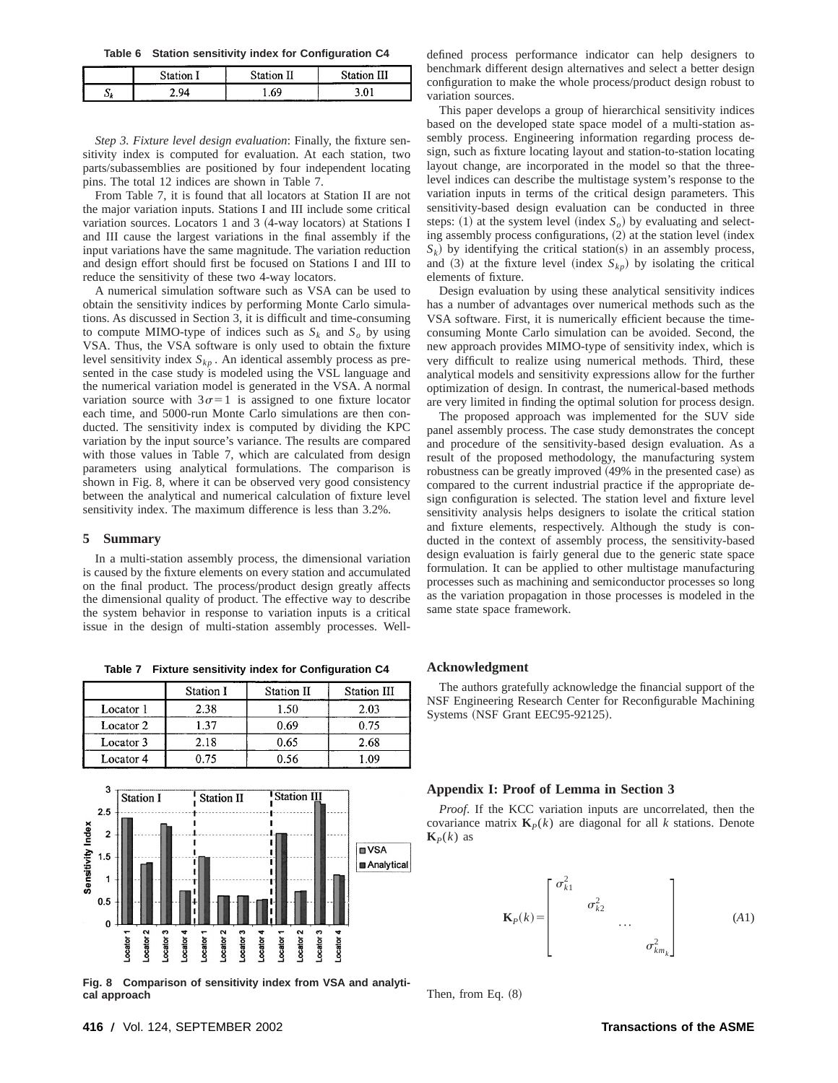**Table 6 Station sensitivity index for Configuration C4**

| $\cdots$ | Station I     | Station II | Station III |
|----------|---------------|------------|-------------|
| ບ∦       | , 94<br>----- | .69        |             |

*Step 3. Fixture level design evaluation*: Finally, the fixture sensitivity index is computed for evaluation. At each station, two parts/subassemblies are positioned by four independent locating pins. The total 12 indices are shown in Table 7.

From Table 7, it is found that all locators at Station II are not the major variation inputs. Stations I and III include some critical variation sources. Locators 1 and 3  $(4$ -way locators) at Stations I and III cause the largest variations in the final assembly if the input variations have the same magnitude. The variation reduction and design effort should first be focused on Stations I and III to reduce the sensitivity of these two 4-way locators.

A numerical simulation software such as VSA can be used to obtain the sensitivity indices by performing Monte Carlo simulations. As discussed in Section 3, it is difficult and time-consuming to compute MIMO-type of indices such as  $S_k$  and  $S_o$  by using VSA. Thus, the VSA software is only used to obtain the fixture level sensitivity index  $S_{kp}$ . An identical assembly process as presented in the case study is modeled using the VSL language and the numerical variation model is generated in the VSA. A normal variation source with  $3\sigma=1$  is assigned to one fixture locator each time, and 5000-run Monte Carlo simulations are then conducted. The sensitivity index is computed by dividing the KPC variation by the input source's variance. The results are compared with those values in Table 7, which are calculated from design parameters using analytical formulations. The comparison is shown in Fig. 8, where it can be observed very good consistency between the analytical and numerical calculation of fixture level sensitivity index. The maximum difference is less than 3.2%.

#### **5 Summary**

In a multi-station assembly process, the dimensional variation is caused by the fixture elements on every station and accumulated on the final product. The process/product design greatly affects the dimensional quality of product. The effective way to describe the system behavior in response to variation inputs is a critical issue in the design of multi-station assembly processes. Well-

Station I Station II Station III Locator 1 2.38 1.50 2.03 1.37 0.75 Locator 2 0.69 Locator 3 2.18 0.65 2.68 Locator 4 0.75 0.56 1.09

**Table 7 Fixture sensitivity index for Configuration C4**



**Fig. 8 Comparison of sensitivity index from VSA and analytical approach**

defined process performance indicator can help designers to benchmark different design alternatives and select a better design configuration to make the whole process/product design robust to variation sources.

This paper develops a group of hierarchical sensitivity indices based on the developed state space model of a multi-station assembly process. Engineering information regarding process design, such as fixture locating layout and station-to-station locating layout change, are incorporated in the model so that the threelevel indices can describe the multistage system's response to the variation inputs in terms of the critical design parameters. This sensitivity-based design evaluation can be conducted in three steps: (1) at the system level (index  $S<sub>o</sub>$ ) by evaluating and selecting assembly process configurations,  $(2)$  at the station level (index  $S_k$ ) by identifying the critical station(s) in an assembly process, and  $(3)$  at the fixture level (index  $S_{kp}$ ) by isolating the critical elements of fixture.

Design evaluation by using these analytical sensitivity indices has a number of advantages over numerical methods such as the VSA software. First, it is numerically efficient because the timeconsuming Monte Carlo simulation can be avoided. Second, the new approach provides MIMO-type of sensitivity index, which is very difficult to realize using numerical methods. Third, these analytical models and sensitivity expressions allow for the further optimization of design. In contrast, the numerical-based methods are very limited in finding the optimal solution for process design.

The proposed approach was implemented for the SUV side panel assembly process. The case study demonstrates the concept and procedure of the sensitivity-based design evaluation. As a result of the proposed methodology, the manufacturing system robustness can be greatly improved (49% in the presented case) as compared to the current industrial practice if the appropriate design configuration is selected. The station level and fixture level sensitivity analysis helps designers to isolate the critical station and fixture elements, respectively. Although the study is conducted in the context of assembly process, the sensitivity-based design evaluation is fairly general due to the generic state space formulation. It can be applied to other multistage manufacturing processes such as machining and semiconductor processes so long as the variation propagation in those processes is modeled in the same state space framework.

#### **Acknowledgment**

The authors gratefully acknowledge the financial support of the NSF Engineering Research Center for Reconfigurable Machining Systems (NSF Grant EEC95-92125).

#### **Appendix I: Proof of Lemma in Section 3**

*Proof*. If the KCC variation inputs are uncorrelated, then the covariance matrix  $\mathbf{K}_p(k)$  are diagonal for all k stations. Denote  $\mathbf{K}_P(k)$  as

$$
\mathbf{K}_P(k) = \begin{bmatrix} \sigma_{k1}^2 & & \\ & \sigma_{k2}^2 & \\ & & \ddots & \\ & & & \sigma_{km_k}^2 \end{bmatrix} \tag{A1}
$$

Then, from Eq.  $(8)$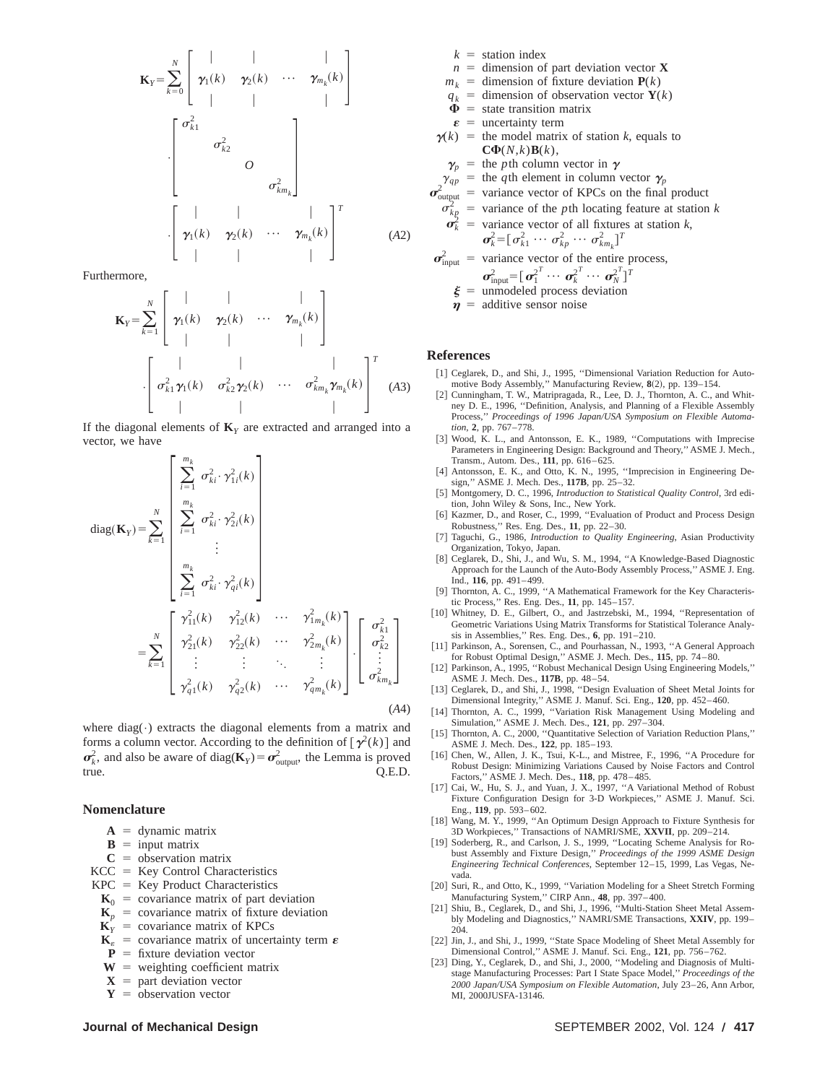$$
\mathbf{K}_{Y} = \sum_{k=0}^{N} \begin{bmatrix} | & | & | & | \\ \gamma_{1}(k) & \gamma_{2}(k) & \cdots & \gamma_{m_{k}}(k) \\ | & | & | & | & | \end{bmatrix}
$$

$$
\cdot \begin{bmatrix} \sigma_{k1}^{2} & & & \\ & \sigma_{k2}^{2} & & \\ & & \sigma_{km_{k}}^{2} \end{bmatrix}
$$

$$
\cdot \begin{bmatrix} | & | & | & | \\ \gamma_{1}(k) & \gamma_{2}(k) & \cdots & \gamma_{m_{k}}(k) \\ | & | & | & | \end{bmatrix}^{T}
$$
(A2)

Furthermore,

$$
\mathbf{K}_{Y} = \sum_{k=1}^{N} \begin{bmatrix} | & | & | & | \\ \gamma_{1}(k) & \gamma_{2}(k) & \cdots & \gamma_{m_{k}}(k) \\ | & | & | & | & | \end{bmatrix}
$$

$$
\cdot \begin{bmatrix} | & | & | & | \\ \sigma_{k1}^{2} \gamma_{1}(k) & \sigma_{k2}^{2} \gamma_{2}(k) & \cdots & \sigma_{km_{k}}^{2} \gamma_{m_{k}}(k) \\ | & | & | & | & | \end{bmatrix}^{T} (A3)
$$

If the diagonal elements of  $\mathbf{K}_y$  are extracted and arranged into a vector, we have

$$
\operatorname{diag}(\mathbf{K}_{Y}) = \sum_{k=1}^{N} \begin{bmatrix} \sum_{i=1}^{m_{k}} \sigma_{ki}^{2} \cdot \gamma_{1i}^{2}(k) \\ \sum_{i=1}^{m_{k}} \sigma_{ki}^{2} \cdot \gamma_{2i}^{2}(k) \\ \vdots \\ \sum_{i=1}^{m_{k}} \sigma_{ki}^{2} \cdot \gamma_{qi}^{2}(k) \end{bmatrix}
$$

$$
= \sum_{k=1}^{N} \begin{bmatrix} \gamma_{11}^{2}(k) & \gamma_{12}^{2}(k) & \cdots & \gamma_{1m_{k}}^{2}(k) \\ \gamma_{21}^{2}(k) & \gamma_{22}^{2}(k) & \cdots & \gamma_{2m_{k}}^{2}(k) \\ \vdots & \vdots & \ddots & \vdots \\ \gamma_{q1}^{2}(k) & \gamma_{q2}^{2}(k) & \cdots & \gamma_{qm_{k}}^{2}(k) \end{bmatrix} \begin{bmatrix} \sigma_{k1}^{2} \\ \sigma_{k2}^{2} \\ \vdots \\ \sigma_{km_{k}}^{2} \end{bmatrix}
$$

$$
(A4)
$$

where diag( $\cdot$ ) extracts the diagonal elements from a matrix and forms a column vector. According to the definition of  $[\gamma^2(k)]$  and  $\sigma_k^2$ , and also be aware of diag( $\mathbf{K}_Y$ ) =  $\sigma_{\text{output}}^2$ , the Lemma is proved true. Q.E.D.

### **Nomenclature**

- $A =$  dynamic matrix
- $\mathbf{B}$  = input matrix
- $C =$  observation matrix
- $KCC = Key Control Characteristics$
- $KPC = Key Product Characteristics$
- $\mathbf{K}_0$  = covariance matrix of part deviation
- $\mathbf{K}_p$  = covariance matrix of fixture deviation
- $\mathbf{K}_Y =$  covariance matrix of KPCs
- $\mathbf{K}_{\varepsilon}$  = covariance matrix of uncertainty term  $\varepsilon$
- $P =$  fixture deviation vector
- $W =$  weighting coefficient matrix
- $X =$  part deviation vector
- $Y =$  observation vector
- $k =$  station index
- $n =$  dimension of part deviation vector **X**
- $m_k$  = dimension of fixture deviation  $P(k)$
- $q_k$  = dimension of observation vector **Y**(*k*)
- $\Phi$  = state transition matrix
- $\epsilon$  = uncertainty term
- $\gamma(k)$  = the model matrix of station *k*, equals to  $\mathbf{C}\Phi(N,k)\mathbf{B}(k),$ 
	- $\gamma_p$  = the *p*th column vector in  $\gamma$
- $g_{qp}$  = the *q*th element in column vector  $\gamma_p$
- $\sigma_{\text{output}}^2$  = variance vector of KPCs on the final product
	- $\sigma_{kp}^2$  = variance of the *p*th locating feature at station *k*

$$
\boldsymbol{\sigma}_{k}^{2} = \text{variance vector of all futures at station } k,
$$
  

$$
\boldsymbol{\sigma}_{k}^{2} = [\sigma_{k1}^{2} \cdots \sigma_{kp}^{2} \cdots \sigma_{km_{k}}^{2}]^{T}
$$

$$
\sigma_{\text{input}}^2
$$
 = variance vector of the entire process,

$$
\boldsymbol{\sigma}_{\text{input}}^2 \text{=} [\ \boldsymbol{\sigma}_1^2 \text{ } \cdots \text{ } \boldsymbol{\sigma}_k^2 \text{ } ^T \text{ } \cdots \text{ } \boldsymbol{\sigma}_N^2 \text{ } ]^T
$$

$$
\xi
$$
 = unmodeled process deviation

$$
\eta =
$$
additive sensor noise

#### **References**

- [1] Ceglarek, D., and Shi, J., 1995, "Dimensional Variation Reduction for Automotive Body Assembly," Manufacturing Review, 8(2), pp. 139-154.
- [2] Cunningham, T. W., Matripragada, R., Lee, D. J., Thornton, A. C., and Whitney D. E., 1996, ''Definition, Analysis, and Planning of a Flexible Assembly Process,'' *Proceedings of 1996 Japan/USA Symposium on Flexible Automation*, **2**, pp. 767–778.
- [3] Wood, K. L., and Antonsson, E. K., 1989, "Computations with Imprecise Parameters in Engineering Design: Background and Theory,'' ASME J. Mech., Transm., Autom. Des., **111**, pp. 616–625.
- [4] Antonsson, E. K., and Otto, K. N., 1995, "Imprecision in Engineering Design,'' ASME J. Mech. Des., **117B**, pp. 25–32.
- [5] Montgomery, D. C., 1996, *Introduction to Statistical Quality Control*, 3rd edition, John Wiley & Sons, Inc., New York.
- [6] Kazmer, D., and Roser, C., 1999, "Evaluation of Product and Process Design Robustness,'' Res. Eng. Des., **11**, pp. 22–30.
- [7] Taguchi, G., 1986, *Introduction to Quality Engineering*, Asian Productivity Organization, Tokyo, Japan.
- [8] Ceglarek, D., Shi, J., and Wu, S. M., 1994, "A Knowledge-Based Diagnostic Approach for the Launch of the Auto-Body Assembly Process,'' ASME J. Eng. Ind., **116**, pp. 491–499.
- [9] Thornton, A. C., 1999, "A Mathematical Framework for the Key Characteristic Process,'' Res. Eng. Des., **11**, pp. 145–157.
- [10] Whitney, D. E., Gilbert, O., and Jastrzebski, M., 1994, "Representation of Geometric Variations Using Matrix Transforms for Statistical Tolerance Analysis in Assemblies,'' Res. Eng. Des., **6**, pp. 191–210.
- [11] Parkinson, A., Sorensen, C., and Pourhassan, N., 1993, "A General Approach for Robust Optimal Design,'' ASME J. Mech. Des., **115**, pp. 74–80.
- [12] Parkinson, A., 1995, "Robust Mechanical Design Using Engineering Models," ASME J. Mech. Des., **117B**, pp. 48–54.
- [13] Ceglarek, D., and Shi, J., 1998, "Design Evaluation of Sheet Metal Joints for Dimensional Integrity,'' ASME J. Manuf. Sci. Eng., **120**, pp. 452–460.
- [14] Thornton, A. C., 1999, "Variation Risk Management Using Modeling and Simulation,'' ASME J. Mech. Des., **121**, pp. 297–304.
- [15] Thornton, A. C., 2000, "Quantitative Selection of Variation Reduction Plans," ASME J. Mech. Des., **122**, pp. 185–193.
- [16] Chen, W., Allen, J. K., Tsui, K-L., and Mistree, F., 1996, "A Procedure for Robust Design: Minimizing Variations Caused by Noise Factors and Control Factors,'' ASME J. Mech. Des., **118**, pp. 478–485.
- [17] Cai, W., Hu, S. J., and Yuan, J. X., 1997, "A Variational Method of Robust Fixture Configuration Design for 3-D Workpieces,'' ASME J. Manuf. Sci. Eng., **119**, pp. 593–602.
- [18] Wang, M. Y., 1999, "An Optimum Design Approach to Fixture Synthesis for 3D Workpieces,'' Transactions of NAMRI/SME, **XXVII**, pp. 209–214.
- [19] Soderberg, R., and Carlson, J. S., 1999, "Locating Scheme Analysis for Robust Assembly and Fixture Design,'' *Proceedings of the 1999 ASME Design Engineering Technical Conferences*, September 12–15, 1999, Las Vegas, Nevada.
- [20] Suri, R., and Otto, K., 1999, "Variation Modeling for a Sheet Stretch Forming Manufacturing System,'' CIRP Ann., **48**, pp. 397–400.
- [21] Shiu, B., Ceglarek, D., and Shi, J., 1996, "Multi-Station Sheet Metal Assem-<br>bly Modeling and Diagnostics," NAMRI/SME Transactions, XXIV, pp. 199– 204.
- [22] Jin, J., and Shi, J., 1999, "State Space Modeling of Sheet Metal Assembly for Dimensional Control,'' ASME J. Manuf. Sci. Eng., **121**, pp. 756–762.
- [23] Ding, Y., Ceglarek, D., and Shi, J., 2000, "Modeling and Diagnosis of Multistage Manufacturing Processes: Part I State Space Model,'' *Proceedings of the 2000 Japan/USA Symposium on Flexible Automation*, July 23–26, Ann Arbor, MI, 2000JUSFA-13146.